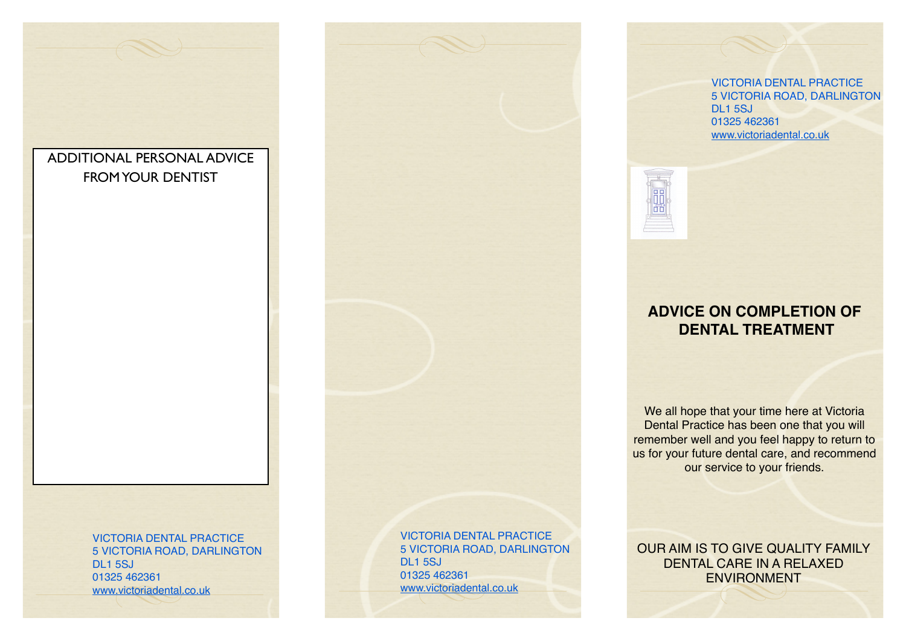

5 VICTORIA ROAD, DARLINGTON DL<sub>1</sub> 5SJ 01325 462361 [www.victoriadental.co.uk](http://www.victoriadental.co.uk)

VICTORIA DENTAL PRACTICE 5 VICTORIA ROAD, DARLINGTON DL1 5SJ 01325 462361 [www.victoriadental.co.uk](http://www.victoriadental.co.uk)

VICTORIA DENTAL PRACTICE 5 VICTORIA ROAD, DARLINGTON DL1 5SJ 01325 462361 [www.victoriadental.co.uk](http://www.victoriadental.co.uk)



# **ADVICE ON COMPLETION OF DENTAL TREATMENT**

We all hope that your time here at Victoria Dental Practice has been one that you will remember well and you feel happy to return to us for your future dental care, and recommend our service to your friends.

OUR AIM IS TO GIVE QUALITY FAMILY DENTAL CARE IN A RELAXED ENVIRONMENT